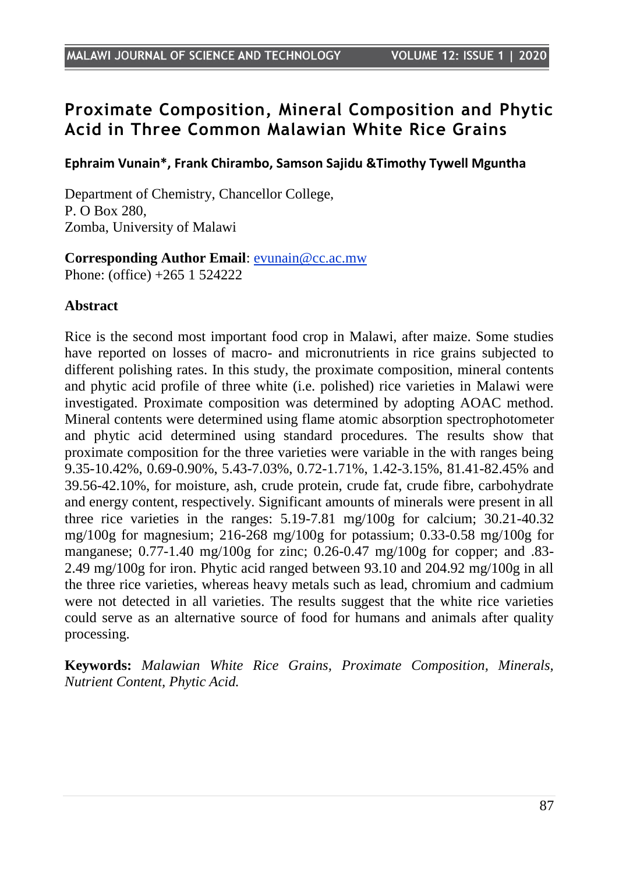# **Proximate Composition, Mineral Composition and Phytic Acid in Three Common Malawian White Rice Grains**

**Ephraim Vunain\*, Frank Chirambo, Samson Sajidu &Timothy Tywell Mguntha**

Department of Chemistry, Chancellor College, P. O Box 280, Zomba, University of Malawi

**Corresponding Author Email**: [evunain@cc.ac.mw](mailto:evunain@cc.ac.mw) Phone: (office) +265 1 524222

#### **Abstract**

Rice is the second most important food crop in Malawi, after maize. Some studies have reported on losses of macro- and micronutrients in rice grains subjected to different polishing rates. In this study, the proximate composition, mineral contents and phytic acid profile of three white (i.e. polished) rice varieties in Malawi were investigated. Proximate composition was determined by adopting AOAC method. Mineral contents were determined using flame atomic absorption spectrophotometer and phytic acid determined using standard procedures. The results show that proximate composition for the three varieties were variable in the with ranges being 9.35-10.42%, 0.69-0.90%, 5.43-7.03%, 0.72-1.71%, 1.42-3.15%, 81.41-82.45% and 39.56-42.10%, for moisture, ash, crude protein, crude fat, crude fibre, carbohydrate and energy content, respectively. Significant amounts of minerals were present in all three rice varieties in the ranges: 5.19-7.81 mg/100g for calcium; 30.21-40.32 mg/100g for magnesium; 216-268 mg/100g for potassium; 0.33-0.58 mg/100g for manganese; 0.77-1.40 mg/100g for zinc; 0.26-0.47 mg/100g for copper; and .83- 2.49 mg/100g for iron. Phytic acid ranged between 93.10 and 204.92 mg/100g in all the three rice varieties, whereas heavy metals such as lead, chromium and cadmium were not detected in all varieties. The results suggest that the white rice varieties could serve as an alternative source of food for humans and animals after quality processing.

**Keywords:** *Malawian White Rice Grains, Proximate Composition, Minerals, Nutrient Content, Phytic Acid.*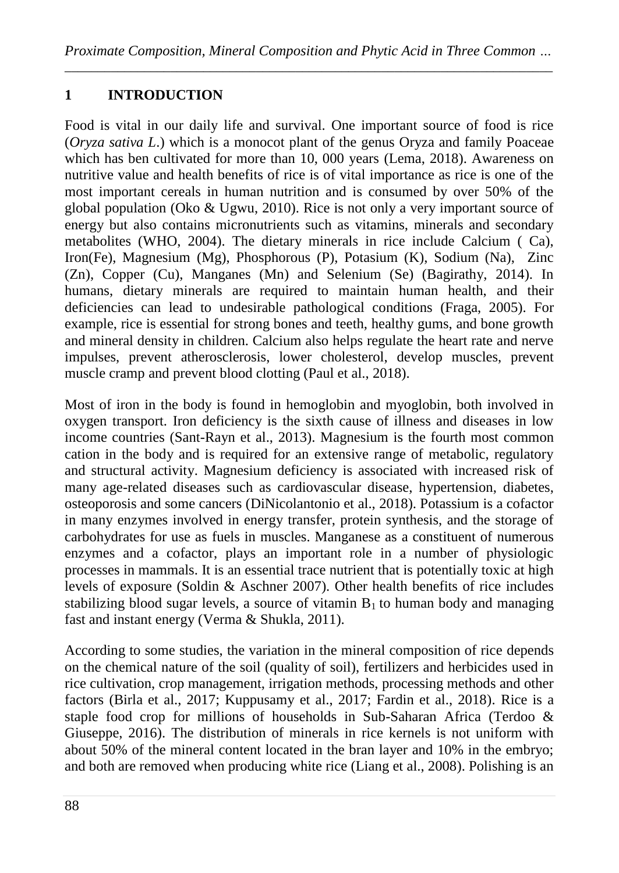# **1 INTRODUCTION**

Food is vital in our daily life and survival. One important source of food is rice (*Oryza sativa L*.) which is a monocot plant of the genus Oryza and family Poaceae which has ben cultivated for more than 10, 000 years (Lema, 2018). Awareness on nutritive value and health benefits of rice is of vital importance as rice is one of the most important cereals in human nutrition and is consumed by over 50% of the global population (Oko & Ugwu, 2010). Rice is not only a very important source of energy but also contains micronutrients such as vitamins, minerals and secondary metabolites (WHO, 2004). The dietary minerals in rice include Calcium ( Ca), Iron(Fe), Magnesium (Mg), Phosphorous (P), Potasium (K), Sodium (Na), Zinc (Zn), Copper (Cu), Manganes (Mn) and Selenium (Se) (Bagirathy, 2014). In humans, dietary minerals are required to maintain human health, and their deficiencies can lead to undesirable pathological conditions (Fraga, 2005). For example, rice is essential for strong bones and teeth, healthy gums, and bone growth and mineral density in children. Calcium also helps regulate the heart rate and nerve impulses, prevent atherosclerosis, lower cholesterol, develop muscles, prevent muscle cramp and prevent blood clotting (Paul et al., 2018).

Most of iron in the body is found in hemoglobin and myoglobin, both involved in oxygen transport. Iron deficiency is the sixth cause of illness and diseases in low income countries (Sant-Rayn et al., 2013). Magnesium is the fourth most common cation in the body and is required for an extensive range of metabolic, regulatory and structural activity. Magnesium deficiency is associated with increased risk of many age-related diseases such as cardiovascular disease, hypertension, diabetes, osteoporosis and some cancers (DiNicolantonio et al., 2018). Potassium is a cofactor in many enzymes involved in energy transfer, protein synthesis, and the storage of carbohydrates for use as fuels in muscles. Manganese as a constituent of numerous enzymes and a cofactor, plays an important role in a number of physiologic processes in mammals. It is an essential trace nutrient that is potentially toxic at high levels of exposure (Soldin & Aschner 2007). Other health benefits of rice includes stabilizing blood sugar levels, a source of vitamin  $B_1$  to human body and managing fast and instant energy (Verma & Shukla, 2011).

According to some studies, the variation in the mineral composition of rice depends on the chemical nature of the soil (quality of soil), fertilizers and herbicides used in rice cultivation, crop management, irrigation methods, processing methods and other factors (Birla et al., 2017; Kuppusamy et al., 2017; Fardin et al., 2018). Rice is a staple food crop for millions of households in Sub-Saharan Africa (Terdoo & Giuseppe, 2016). The distribution of minerals in rice kernels is not uniform with about 50% of the mineral content located in the bran layer and 10% in the embryo; and both are removed when producing white rice (Liang et al., 2008). Polishing is an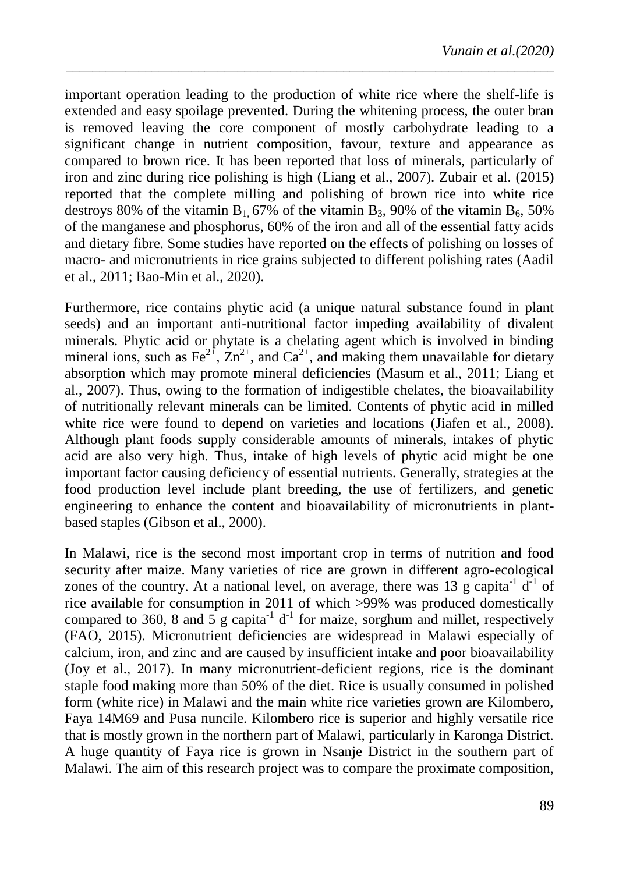important operation leading to the production of white rice where the shelf-life is extended and easy spoilage prevented. During the whitening process, the outer bran is removed leaving the core component of mostly carbohydrate leading to a significant change in nutrient composition, favour, texture and appearance as compared to brown rice. It has been reported that loss of minerals, particularly of iron and zinc during rice polishing is high (Liang et al., 2007). Zubair et al. (2015) reported that the complete milling and polishing of brown rice into white rice destroys 80% of the vitamin B<sub>1</sub>, 67% of the vitamin B<sub>3</sub>, 90% of the vitamin B<sub>6</sub>, 50% of the manganese and phosphorus, 60% of the iron and all of the essential fatty acids and dietary fibre. Some studies have reported on the effects of polishing on losses of macro- and micronutrients in rice grains subjected to different polishing rates (Aadil et al., 2011; Bao-Min et al., 2020).

*\_\_\_\_\_\_\_\_\_\_\_\_\_\_\_\_\_\_\_\_\_\_\_\_\_\_\_\_\_\_\_\_\_\_\_\_\_\_\_\_\_\_\_\_\_\_\_\_\_\_\_\_\_\_\_\_\_\_\_\_\_\_\_\_\_\_\_\_\_\_\_\_\_\_*

Furthermore, rice contains phytic acid (a unique natural substance found in plant seeds) and an important anti-nutritional factor impeding availability of divalent minerals. Phytic acid or phytate is a chelating agent which is involved in binding mineral ions, such as Fe<sup>2+</sup>,  $\overline{Zn}^{2+}$ , and  $\overline{Ca}^{2+}$ , and making them unavailable for dietary absorption which may promote mineral deficiencies (Masum et al., 2011; Liang et al., 2007). Thus, owing to the formation of indigestible chelates, the bioavailability of nutritionally relevant minerals can be limited. Contents of phytic acid in milled white rice were found to depend on varieties and locations (Jiafen et al., 2008). Although plant foods supply considerable amounts of minerals, intakes of phytic acid are also very high. Thus, intake of high levels of phytic acid might be one important factor causing deficiency of essential nutrients. Generally, strategies at the food production level include plant breeding, the use of fertilizers, and genetic engineering to enhance the content and bioavailability of micronutrients in plantbased staples (Gibson et al., 2000).

In Malawi, rice is the second most important crop in terms of nutrition and food security after maize. Many varieties of rice are grown in different agro-ecological zones of the country. At a national level, on average, there was 13 g capita<sup>-1</sup>  $d^{-1}$  of rice available for consumption in 2011 of which >99% was produced domestically compared to 360, 8 and 5 g capita<sup>-1</sup> d<sup>-1</sup> for maize, sorghum and millet, respectively (FAO, 2015). Micronutrient deficiencies are widespread in Malawi especially of calcium, iron, and zinc and are caused by insufficient intake and poor bioavailability (Joy et al., 2017). In many micronutrient-deficient regions, rice is the dominant staple food making more than 50% of the diet. Rice is usually consumed in polished form (white rice) in Malawi and the main white rice varieties grown are Kilombero, Faya 14M69 and Pusa nuncile. Kilombero rice is superior and highly versatile rice that is mostly grown in the northern part of Malawi, particularly in Karonga District. A huge quantity of Faya rice is grown in Nsanje District in the southern part of Malawi. The aim of this research project was to compare the proximate composition,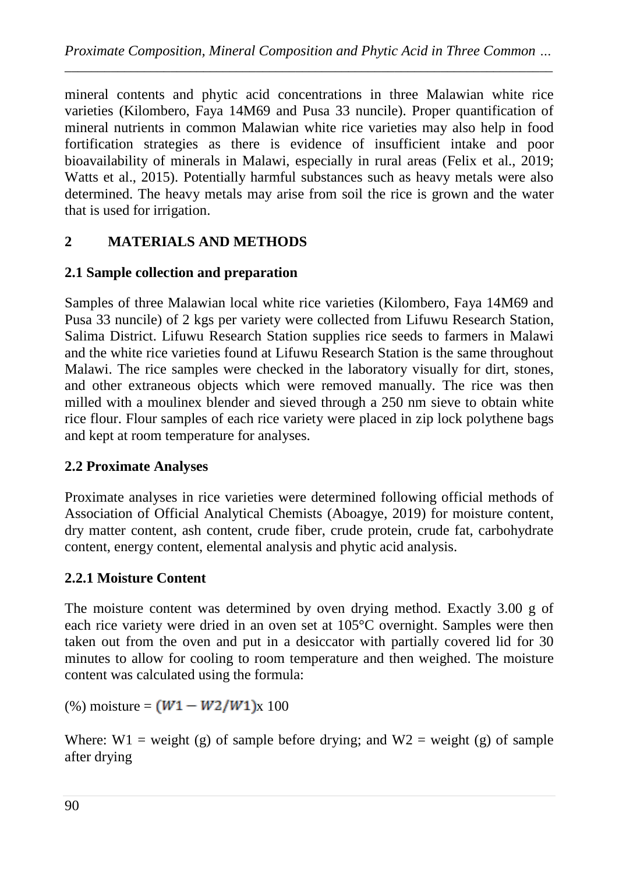mineral contents and phytic acid concentrations in three Malawian white rice varieties (Kilombero, Faya 14M69 and Pusa 33 nuncile). Proper quantification of mineral nutrients in common Malawian white rice varieties may also help in food fortification strategies as there is evidence of insufficient intake and poor bioavailability of minerals in Malawi, especially in rural areas (Felix et al., 2019; Watts et al., 2015). Potentially harmful substances such as heavy metals were also determined. The heavy metals may arise from soil the rice is grown and the water that is used for irrigation.

## **2 MATERIALS AND METHODS**

#### **2.1 Sample collection and preparation**

Samples of three Malawian local white rice varieties (Kilombero, Faya 14M69 and Pusa 33 nuncile) of 2 kgs per variety were collected from Lifuwu Research Station, Salima District. Lifuwu Research Station supplies rice seeds to farmers in Malawi and the white rice varieties found at Lifuwu Research Station is the same throughout Malawi. The rice samples were checked in the laboratory visually for dirt, stones, and other extraneous objects which were removed manually. The rice was then milled with a moulinex blender and sieved through a 250 nm sieve to obtain white rice flour. Flour samples of each rice variety were placed in zip lock polythene bags and kept at room temperature for analyses.

#### **2.2 Proximate Analyses**

Proximate analyses in rice varieties were determined following official methods of Association of Official Analytical Chemists (Aboagye, 2019) for moisture content, dry matter content, ash content, crude fiber, crude protein, crude fat, carbohydrate content, energy content, elemental analysis and phytic acid analysis.

#### **2.2.1 Moisture Content**

The moisture content was determined by oven drying method. Exactly 3.00 g of each rice variety were dried in an oven set at 105°C overnight. Samples were then taken out from the oven and put in a desiccator with partially covered lid for 30 minutes to allow for cooling to room temperature and then weighed. The moisture content was calculated using the formula:

(%) moisture =  $(W1 - W2/W1)x 100$ 

Where:  $W1$  = weight (g) of sample before drying; and  $W2$  = weight (g) of sample after drying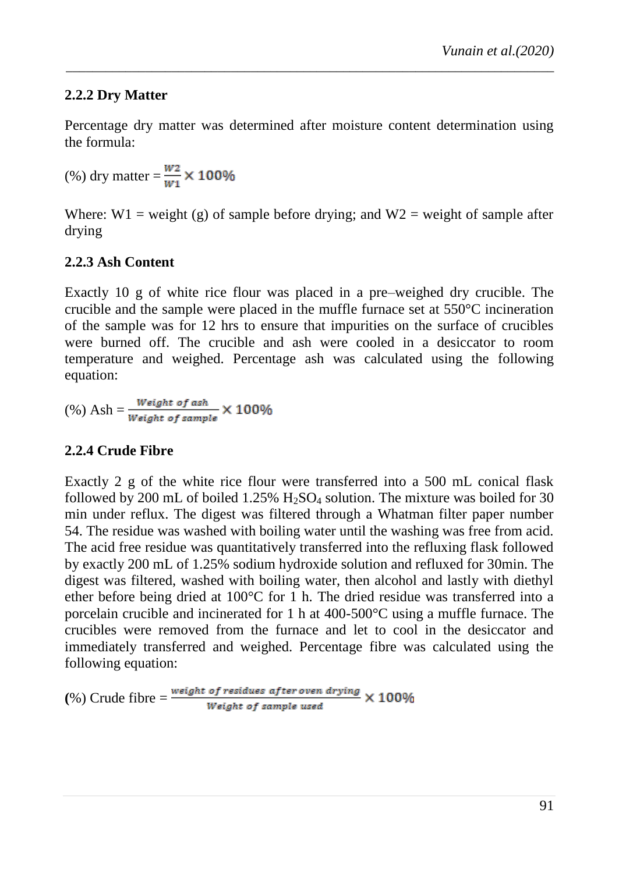### **2.2.2 Dry Matter**

Percentage dry matter was determined after moisture content determination using the formula:

*\_\_\_\_\_\_\_\_\_\_\_\_\_\_\_\_\_\_\_\_\_\_\_\_\_\_\_\_\_\_\_\_\_\_\_\_\_\_\_\_\_\_\_\_\_\_\_\_\_\_\_\_\_\_\_\_\_\_\_\_\_\_\_\_\_\_\_\_\_\_\_\_\_\_*

(%) dry matter =  $\frac{W_2}{W_1}$  × 100%

Where:  $W1$  = weight (g) of sample before drying; and  $W2$  = weight of sample after drying

#### **2.2.3 Ash Content**

Exactly 10 g of white rice flour was placed in a pre–weighed dry crucible. The crucible and the sample were placed in the muffle furnace set at 550°C incineration of the sample was for 12 hrs to ensure that impurities on the surface of crucibles were burned off. The crucible and ash were cooled in a desiccator to room temperature and weighed. Percentage ash was calculated using the following equation:

(%) Ash =  $\frac{Weight\ of\ ash}{Weight\ of\ sample} \times 100\%$ 

#### **2.2.4 Crude Fibre**

Exactly 2 g of the white rice flour were transferred into a 500 mL conical flask followed by 200 mL of boiled 1.25%  $H<sub>2</sub>SO<sub>4</sub>$  solution. The mixture was boiled for 30 min under reflux. The digest was filtered through a Whatman filter paper number 54. The residue was washed with boiling water until the washing was free from acid. The acid free residue was quantitatively transferred into the refluxing flask followed by exactly 200 mL of 1.25% sodium hydroxide solution and refluxed for 30min. The digest was filtered, washed with boiling water, then alcohol and lastly with diethyl ether before being dried at 100°C for 1 h. The dried residue was transferred into a porcelain crucible and incinerated for 1 h at 400-500°C using a muffle furnace. The crucibles were removed from the furnace and let to cool in the desiccator and immediately transferred and weighed. Percentage fibre was calculated using the following equation:

(%) Crude fibre  $=\frac{weight\ of\ residues\ after\ over\ drug}{Weight\ of\ sample\ used} \times 100\%$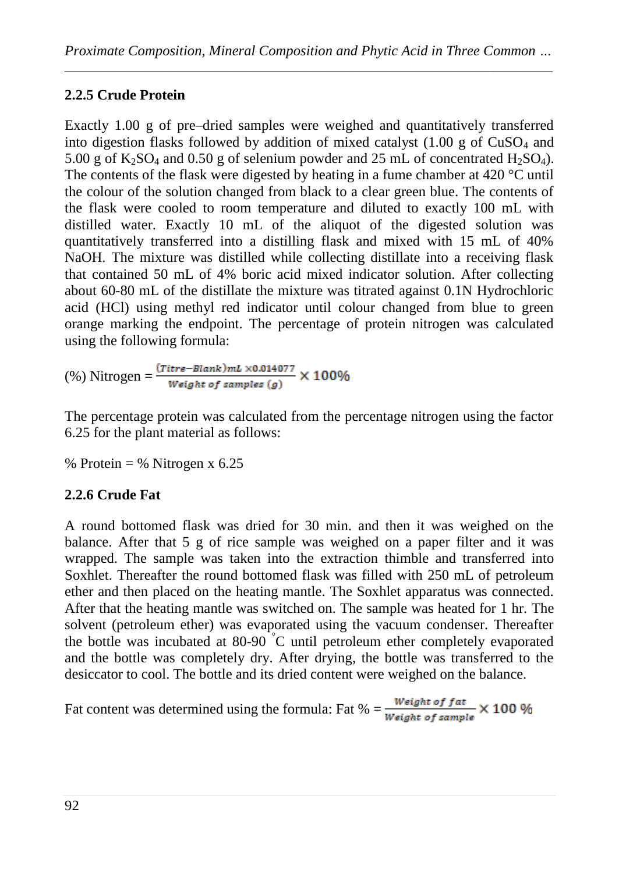# **2.2.5 Crude Protein**

Exactly 1.00 g of pre–dried samples were weighed and quantitatively transferred into digestion flasks followed by addition of mixed catalyst  $(1.00 \text{ g of CuSO}_4 \text{ and }$ 5.00 g of  $K_2SO_4$  and 0.50 g of selenium powder and 25 mL of concentrated H<sub>2</sub>SO<sub>4</sub>). The contents of the flask were digested by heating in a fume chamber at 420 °C until the colour of the solution changed from black to a clear green blue. The contents of the flask were cooled to room temperature and diluted to exactly 100 mL with distilled water. Exactly 10 mL of the aliquot of the digested solution was quantitatively transferred into a distilling flask and mixed with 15 mL of 40% NaOH. The mixture was distilled while collecting distillate into a receiving flask that contained 50 mL of 4% boric acid mixed indicator solution. After collecting about 60-80 mL of the distillate the mixture was titrated against 0.1N Hydrochloric acid (HCl) using methyl red indicator until colour changed from blue to green orange marking the endpoint. The percentage of protein nitrogen was calculated using the following formula:

(%) Nitrogen =  $\frac{(Titre-Blank)ml \times 0.014077}{Weight of samples (g)} \times 100\%$ 

The percentage protein was calculated from the percentage nitrogen using the factor 6.25 for the plant material as follows:

% Protein = % Nitrogen x 6.25

# **2.2.6 Crude Fat**

A round bottomed flask was dried for 30 min. and then it was weighed on the balance. After that 5 g of rice sample was weighed on a paper filter and it was wrapped. The sample was taken into the extraction thimble and transferred into Soxhlet. Thereafter the round bottomed flask was filled with 250 mL of petroleum ether and then placed on the heating mantle. The Soxhlet apparatus was connected. After that the heating mantle was switched on. The sample was heated for 1 hr. The solvent (petroleum ether) was evaporated using the vacuum condenser. Thereafter the bottle was incubated at 80-90  $\degree$ C until petroleum ether completely evaporated and the bottle was completely dry. After drying, the bottle was transferred to the desiccator to cool. The bottle and its dried content were weighed on the balance.

Fat content was determined using the formula: Fat % =  $\frac{Weight\ of\ fat}{Weight\ of\ sample} \times 100\ \%$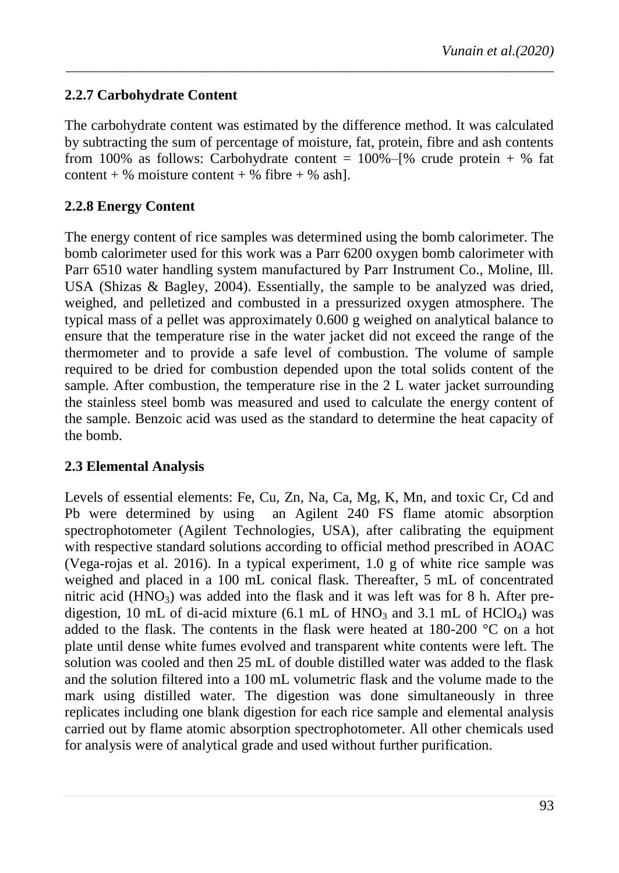## **2.2.7 Carbohydrate Content**

The carbohydrate content was estimated by the difference method. It was calculated by subtracting the sum of percentage of moisture, fat, protein, fibre and ash contents from 100% as follows: Carbohydrate content =  $100\%$ –[% crude protein + % fat content + % moisture content + % fibre + % ash].

*\_\_\_\_\_\_\_\_\_\_\_\_\_\_\_\_\_\_\_\_\_\_\_\_\_\_\_\_\_\_\_\_\_\_\_\_\_\_\_\_\_\_\_\_\_\_\_\_\_\_\_\_\_\_\_\_\_\_\_\_\_\_\_\_\_\_\_\_\_\_\_\_\_\_*

### **2.2.8 Energy Content**

The energy content of rice samples was determined using the bomb calorimeter. The bomb calorimeter used for this work was a Parr 6200 oxygen bomb calorimeter with Parr 6510 water handling system manufactured by Parr Instrument Co., Moline, Ill. USA (Shizas & Bagley, 2004). Essentially, the sample to be analyzed was dried, weighed, and pelletized and combusted in a pressurized oxygen atmosphere. The typical mass of a pellet was approximately 0.600 g weighed on analytical balance to ensure that the temperature rise in the water jacket did not exceed the range of the thermometer and to provide a safe level of combustion. The volume of sample required to be dried for combustion depended upon the total solids content of the sample. After combustion, the temperature rise in the 2 L water jacket surrounding the stainless steel bomb was measured and used to calculate the energy content of the sample. Benzoic acid was used as the standard to determine the heat capacity of the bomb.

#### **2.3 Elemental Analysis**

Levels of essential elements: Fe, Cu, Zn, Na, Ca, Mg, K, Mn, and toxic Cr, Cd and Pb were determined by using an Agilent 240 FS flame atomic absorption spectrophotometer (Agilent Technologies, USA), after calibrating the equipment with respective standard solutions according to official method prescribed in AOAC (Vega-rojas et al. 2016). In a typical experiment, 1.0 g of white rice sample was weighed and placed in a 100 mL conical flask. Thereafter, 5 mL of concentrated nitric acid  $(HNO<sub>3</sub>)$  was added into the flask and it was left was for 8 h. After predigestion, 10 mL of di-acid mixture (6.1 mL of  $HNO<sub>3</sub>$  and 3.1 mL of  $HClO<sub>4</sub>$ ) was added to the flask. The contents in the flask were heated at 180-200 °C on a hot plate until dense white fumes evolved and transparent white contents were left. The solution was cooled and then 25 mL of double distilled water was added to the flask and the solution filtered into a 100 mL volumetric flask and the volume made to the mark using distilled water. The digestion was done simultaneously in three replicates including one blank digestion for each rice sample and elemental analysis carried out by flame atomic absorption spectrophotometer. All other chemicals used for analysis were of analytical grade and used without further purification.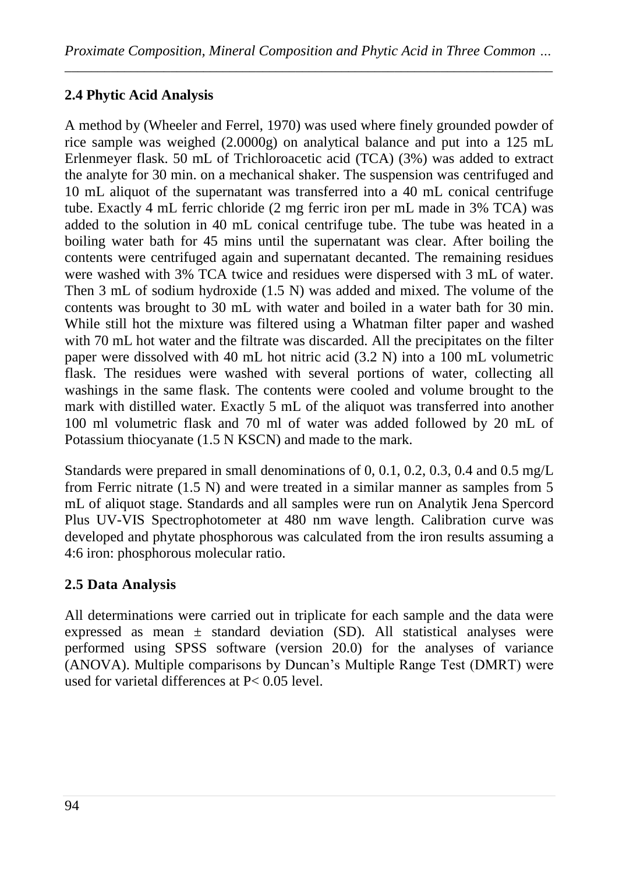# **2.4 Phytic Acid Analysis**

A method by (Wheeler and Ferrel, 1970) was used where finely grounded powder of rice sample was weighed (2.0000g) on analytical balance and put into a 125 mL Erlenmeyer flask. 50 mL of Trichloroacetic acid (TCA) (3%) was added to extract the analyte for 30 min. on a mechanical shaker. The suspension was centrifuged and 10 mL aliquot of the supernatant was transferred into a 40 mL conical centrifuge tube. Exactly 4 mL ferric chloride (2 mg ferric iron per mL made in 3% TCA) was added to the solution in 40 mL conical centrifuge tube. The tube was heated in a boiling water bath for 45 mins until the supernatant was clear. After boiling the contents were centrifuged again and supernatant decanted. The remaining residues were washed with 3% TCA twice and residues were dispersed with 3 mL of water. Then 3 mL of sodium hydroxide (1.5 N) was added and mixed. The volume of the contents was brought to 30 mL with water and boiled in a water bath for 30 min. While still hot the mixture was filtered using a Whatman filter paper and washed with 70 mL hot water and the filtrate was discarded. All the precipitates on the filter paper were dissolved with 40 mL hot nitric acid (3.2 N) into a 100 mL volumetric flask. The residues were washed with several portions of water, collecting all washings in the same flask. The contents were cooled and volume brought to the mark with distilled water. Exactly 5 mL of the aliquot was transferred into another 100 ml volumetric flask and 70 ml of water was added followed by 20 mL of Potassium thiocyanate (1.5 N KSCN) and made to the mark.

Standards were prepared in small denominations of 0, 0.1, 0.2, 0.3, 0.4 and 0.5 mg/L from Ferric nitrate (1.5 N) and were treated in a similar manner as samples from 5 mL of aliquot stage. Standards and all samples were run on Analytik Jena Spercord Plus UV-VIS Spectrophotometer at 480 nm wave length. Calibration curve was developed and phytate phosphorous was calculated from the iron results assuming a 4:6 iron: phosphorous molecular ratio.

# **2.5 Data Analysis**

All determinations were carried out in triplicate for each sample and the data were expressed as mean ± standard deviation (SD). All statistical analyses were performed using SPSS software (version 20.0) for the analyses of variance (ANOVA). Multiple comparisons by Duncan"s Multiple Range Test (DMRT) were used for varietal differences at P< 0.05 level.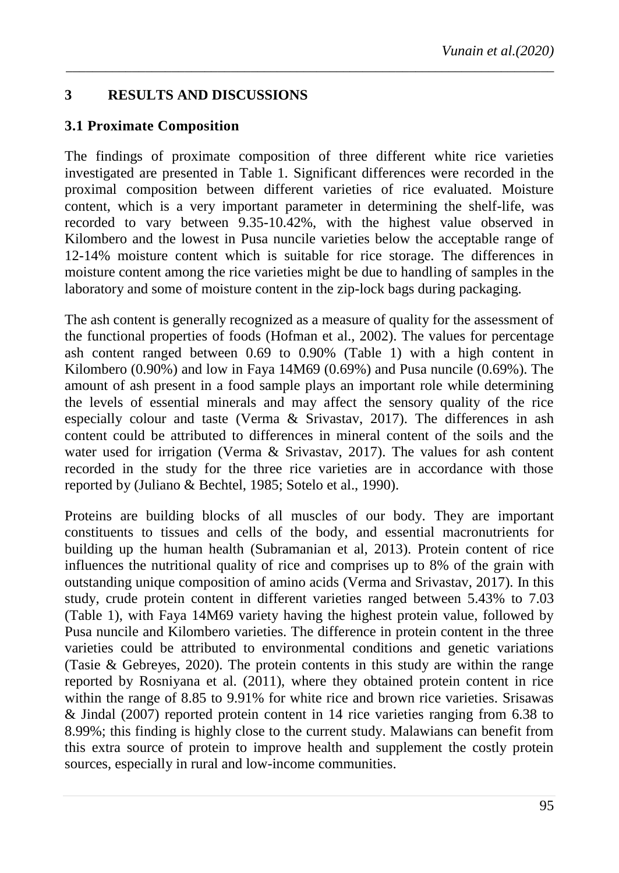# **3 RESULTS AND DISCUSSIONS**

#### **3.1 Proximate Composition**

The findings of proximate composition of three different white rice varieties investigated are presented in Table 1. Significant differences were recorded in the proximal composition between different varieties of rice evaluated. Moisture content, which is a very important parameter in determining the shelf-life, was recorded to vary between 9.35-10.42%, with the highest value observed in Kilombero and the lowest in Pusa nuncile varieties below the acceptable range of 12-14% moisture content which is suitable for rice storage. The differences in moisture content among the rice varieties might be due to handling of samples in the laboratory and some of moisture content in the zip-lock bags during packaging.

*\_\_\_\_\_\_\_\_\_\_\_\_\_\_\_\_\_\_\_\_\_\_\_\_\_\_\_\_\_\_\_\_\_\_\_\_\_\_\_\_\_\_\_\_\_\_\_\_\_\_\_\_\_\_\_\_\_\_\_\_\_\_\_\_\_\_\_\_\_\_\_\_\_\_*

The ash content is generally recognized as a measure of quality for the assessment of the functional properties of foods (Hofman et al., 2002). The values for percentage ash content ranged between 0.69 to 0.90% (Table 1) with a high content in Kilombero (0.90%) and low in Faya 14M69 (0.69%) and Pusa nuncile (0.69%). The amount of ash present in a food sample plays an important role while determining the levels of essential minerals and may affect the sensory quality of the rice especially colour and taste (Verma & Srivastav, 2017). The differences in ash content could be attributed to differences in mineral content of the soils and the water used for irrigation (Verma & Srivastav, 2017). The values for ash content recorded in the study for the three rice varieties are in accordance with those reported by (Juliano & Bechtel, 1985; Sotelo et al., 1990).

Proteins are building blocks of all muscles of our body. They are important constituents to tissues and cells of the body, and essential macronutrients for building up the human health (Subramanian et al, 2013). Protein content of rice influences the nutritional quality of rice and comprises up to 8% of the grain with outstanding unique composition of amino acids (Verma and Srivastav, 2017). In this study, crude protein content in different varieties ranged between 5.43% to 7.03 (Table 1), with Faya 14M69 variety having the highest protein value, followed by Pusa nuncile and Kilombero varieties. The difference in protein content in the three varieties could be attributed to environmental conditions and genetic variations (Tasie & Gebreyes, 2020). The protein contents in this study are within the range reported by Rosniyana et al. (2011), where they obtained protein content in rice within the range of 8.85 to 9.91% for white rice and brown rice varieties. Srisawas & Jindal (2007) reported protein content in 14 rice varieties ranging from 6.38 to 8.99%; this finding is highly close to the current study. Malawians can benefit from this extra source of protein to improve health and supplement the costly protein sources, especially in rural and low-income communities.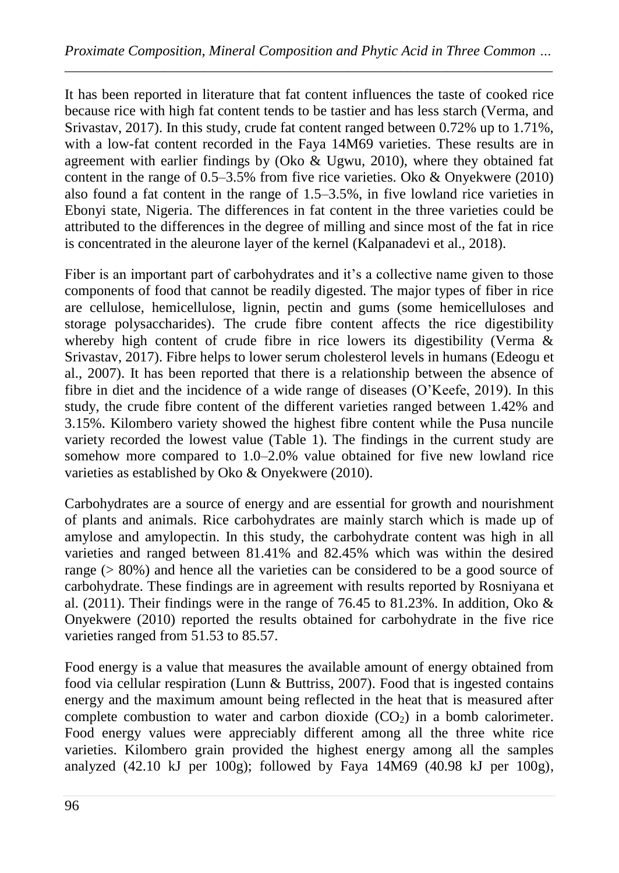It has been reported in literature that fat content influences the taste of cooked rice because rice with high fat content tends to be tastier and has less starch (Verma, and Srivastav, 2017). In this study, crude fat content ranged between 0.72% up to 1.71%, with a low-fat content recorded in the Faya 14M69 varieties. These results are in agreement with earlier findings by (Oko & Ugwu, 2010), where they obtained fat content in the range of 0.5–3.5% from five rice varieties. Oko & Onyekwere (2010) also found a fat content in the range of 1.5–3.5%, in five lowland rice varieties in Ebonyi state, Nigeria. The differences in fat content in the three varieties could be attributed to the differences in the degree of milling and since most of the fat in rice is concentrated in the aleurone layer of the kernel (Kalpanadevi et al., 2018).

Fiber is an important part of carbohydrates and it's a collective name given to those components of food that cannot be readily digested. The major types of fiber in rice are cellulose, hemicellulose, lignin, pectin and gums (some hemicelluloses and storage polysaccharides). The crude fibre content affects the rice digestibility whereby high content of crude fibre in rice lowers its digestibility (Verma & Srivastav, 2017). Fibre helps to lower serum cholesterol levels in humans (Edeogu et al., 2007). It has been reported that there is a relationship between the absence of fibre in diet and the incidence of a wide range of diseases (O"Keefe, 2019). In this study, the crude fibre content of the different varieties ranged between 1.42% and 3.15%. Kilombero variety showed the highest fibre content while the Pusa nuncile variety recorded the lowest value (Table 1). The findings in the current study are somehow more compared to 1.0–2.0% value obtained for five new lowland rice varieties as established by Oko & Onyekwere (2010).

Carbohydrates are a source of energy and are essential for growth and nourishment of plants and animals. Rice carbohydrates are mainly starch which is made up of amylose and amylopectin. In this study, the carbohydrate content was high in all varieties and ranged between 81.41% and 82.45% which was within the desired range (> 80%) and hence all the varieties can be considered to be a good source of carbohydrate. These findings are in agreement with results reported by Rosniyana et al. (2011). Their findings were in the range of 76.45 to 81.23%. In addition, Oko  $\&$ Onyekwere (2010) reported the results obtained for carbohydrate in the five rice varieties ranged from 51.53 to 85.57.

Food energy is a value that measures the available amount of energy obtained from food via cellular respiration (Lunn & Buttriss, 2007). Food that is ingested contains energy and the maximum amount being reflected in the heat that is measured after complete combustion to water and carbon dioxide  $(CO<sub>2</sub>)$  in a bomb calorimeter. Food energy values were appreciably different among all the three white rice varieties. Kilombero grain provided the highest energy among all the samples analyzed (42.10 kJ per 100g); followed by Faya 14M69 (40.98 kJ per 100g),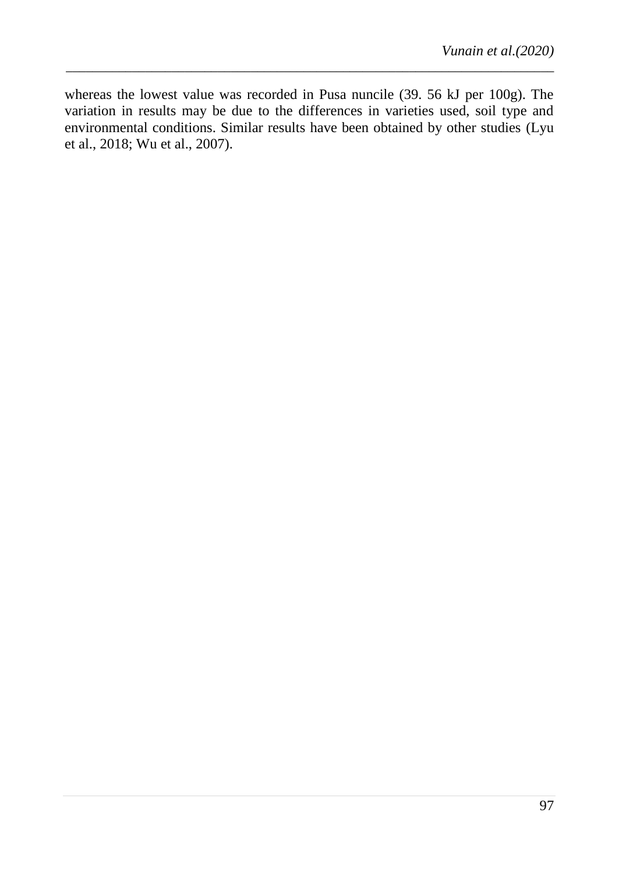whereas the lowest value was recorded in Pusa nuncile (39. 56 kJ per 100g). The variation in results may be due to the differences in varieties used, soil type and environmental conditions. Similar results have been obtained by other studies (Lyu et al., 2018; Wu et al., 2007).

*\_\_\_\_\_\_\_\_\_\_\_\_\_\_\_\_\_\_\_\_\_\_\_\_\_\_\_\_\_\_\_\_\_\_\_\_\_\_\_\_\_\_\_\_\_\_\_\_\_\_\_\_\_\_\_\_\_\_\_\_\_\_\_\_\_\_\_\_\_\_\_\_\_\_*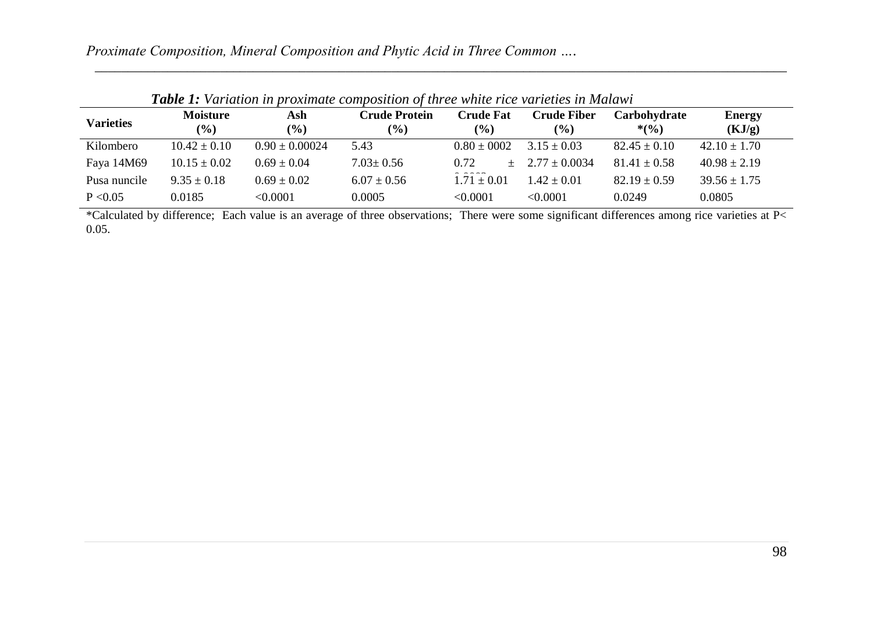| <b>Varieties</b> | <b>Moisture</b><br>$($ %) | Ash<br>$\frac{9}{6}$ | <b>Crude Protein</b><br>$(\%)$ | <b>Crude Fat</b><br>$\frac{6}{6}$              | <b>Crude Fiber</b><br>$\frac{9}{6}$ | Carbohydrate<br>$*(\frac{6}{6})$ | <b>Energy</b><br>(KJ/g) |
|------------------|---------------------------|----------------------|--------------------------------|------------------------------------------------|-------------------------------------|----------------------------------|-------------------------|
| Kilombero        | $10.42 \pm 0.10$          | $0.90 \pm 0.00024$   | 5.43                           | $0.80 \pm 0002$                                | $3.15 \pm 0.03$                     | $82.45 \pm 0.10$                 | $42.10 \pm 1.70$        |
| Faya 14M69       | $10.15 \pm 0.02$          | $0.69 \pm 0.04$      | $7.03 \pm 0.56$                | 0.72                                           | $+$ 2.77 $+$ 0.0034                 | $81.41 \pm 0.58$                 | $40.98 \pm 2.19$        |
| Pusa nuncile     | $9.35 \pm 0.18$           | $0.69 \pm 0.02$      | $6.07 \pm 0.56$                | $\sim$ $\sim$ $\sim$ $\sim$<br>$1.71 \pm 0.01$ | $1.42 + 0.01$                       | $82.19 \pm 0.59$                 | $39.56 \pm 1.75$        |
| P < 0.05         | 0.0185                    | <0.0001              | 0.0005                         | < 0.0001                                       | < 0.0001                            | 0.0249                           | 0.0805                  |

*\_\_\_\_\_\_\_\_\_\_\_\_\_\_\_\_\_\_\_\_\_\_\_\_\_\_\_\_\_\_\_\_\_\_\_\_\_\_\_\_\_\_\_\_\_\_\_\_\_\_\_\_\_\_\_\_\_\_\_\_\_\_\_\_\_\_\_\_\_\_\_\_\_\_\_\_\_\_\_\_\_\_\_\_\_\_\_\_\_\_\_\_\_\_\_\_\_\_\_\_\_\_\_\_\_*

 *Table 1: Variation in proximate composition of three white rice varieties in Malawi*

\*Calculated by difference; Each value is an average of three observations; There were some significant differences among rice varieties at P< 0.05.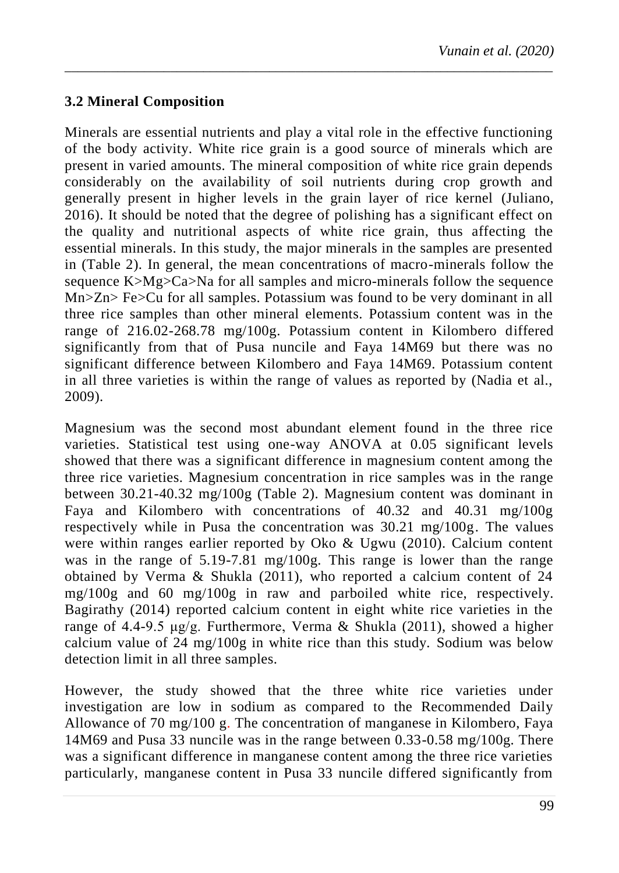## **3.2 Mineral Composition**

Minerals are essential nutrients and play a vital role in the effective functioning of the body activity. White rice grain is a good source of minerals which are present in varied amounts. The mineral composition of white rice grain depends considerably on the availability of soil nutrients during crop growth and generally present in higher levels in the grain layer of rice kernel (Juliano, 2016). It should be noted that the degree of polishing has a significant effect on the quality and nutritional aspects of white rice grain, thus affecting the essential minerals. In this study, the major minerals in the samples are presented in (Table 2). In general, the mean concentrations of macro-minerals follow the sequence K>Mg>Ca>Na for all samples and micro-minerals follow the sequence Mn>Zn> Fe>Cu for all samples. Potassium was found to be very dominant in all three rice samples than other mineral elements. Potassium content was in the range of 216.02-268.78 mg/100g. Potassium content in Kilombero differed significantly from that of Pusa nuncile and Faya 14M69 but there was no significant difference between Kilombero and Faya 14M69. Potassium content in all three varieties is within the range of values as reported by (Nadia et al., 2009).

*\_\_\_\_\_\_\_\_\_\_\_\_\_\_\_\_\_\_\_\_\_\_\_\_\_\_\_\_\_\_\_\_\_\_\_\_\_\_\_\_\_\_\_\_\_\_\_\_\_\_\_\_\_\_\_\_\_\_\_\_\_\_\_\_\_\_\_\_\_\_\_\_\_\_*

Magnesium was the second most abundant element found in the three rice varieties. Statistical test using one-way ANOVA at 0.05 significant levels showed that there was a significant difference in magnesium content among the three rice varieties. Magnesium concentration in rice samples was in the range between 30.21-40.32 mg/100g (Table 2). Magnesium content was dominant in Faya and Kilombero with concentrations of 40.32 and 40.31 mg/100g respectively while in Pusa the concentration was 30.21 mg/100g. The values were within ranges earlier reported by Oko & Ugwu (2010). Calcium content was in the range of 5.19-7.81 mg/100g. This range is lower than the range obtained by Verma & Shukla (2011), who reported a calcium content of 24 mg/100g and 60 mg/100g in raw and parboiled white rice, respectively. Bagirathy (2014) reported calcium content in eight white rice varieties in the range of 4.4-9.5 μg/g. Furthermore, Verma & Shukla (2011), showed a higher calcium value of 24 mg/100g in white rice than this study. Sodium was below detection limit in all three samples.

However, the study showed that the three white rice varieties under investigation are low in sodium as compared to the Recommended Daily Allowance of 70 mg/100 g. The concentration of manganese in Kilombero, Faya 14M69 and Pusa 33 nuncile was in the range between 0.33-0.58 mg/100g. There was a significant difference in manganese content among the three rice varieties particularly, manganese content in Pusa 33 nuncile differed significantly from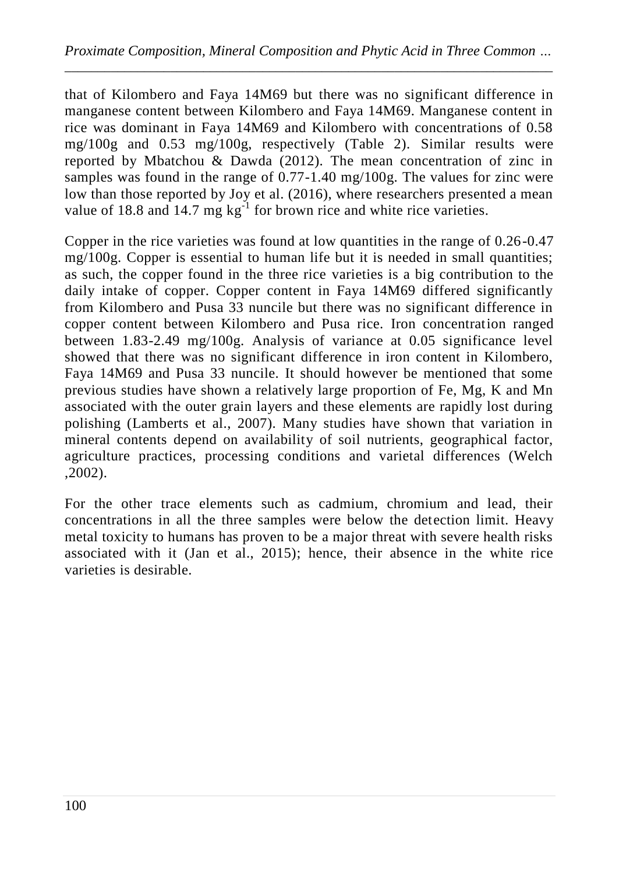that of Kilombero and Faya 14M69 but there was no significant difference in manganese content between Kilombero and Faya 14M69. Manganese content in rice was dominant in Faya 14M69 and Kilombero with concentrations of 0.58 mg/100g and 0.53 mg/100g, respectively (Table 2). Similar results were reported by Mbatchou & Dawda (2012). The mean concentration of zinc in samples was found in the range of 0.77-1.40 mg/100g. The values for zinc were low than those reported by Joy et al. (2016), where researchers presented a mean value of 18.8 and 14.7 mg  $kg^{-1}$  for brown rice and white rice varieties.

Copper in the rice varieties was found at low quantities in the range of 0.26-0.47 mg/100g. Copper is essential to human life but it is needed in small quantities; as such, the copper found in the three rice varieties is a big contribution to the daily intake of copper. Copper content in Faya 14M69 differed significantly from Kilombero and Pusa 33 nuncile but there was no significant difference in copper content between Kilombero and Pusa rice. Iron concentration ranged between 1.83-2.49 mg/100g. Analysis of variance at 0.05 significance level showed that there was no significant difference in iron content in Kilombero, Faya 14M69 and Pusa 33 nuncile. It should however be mentioned that some previous studies have shown a relatively large proportion of Fe, Mg, K and Mn associated with the outer grain layers and these elements are rapidly lost during polishing (Lamberts et al., 2007). Many studies have shown that variation in mineral contents depend on availability of soil nutrients, geographical factor, agriculture practices, processing conditions and varietal differences (Welch ,2002).

For the other trace elements such as cadmium, chromium and lead, their concentrations in all the three samples were below the detection limit. Heavy metal toxicity to humans has proven to be a major threat with severe health risks associated with it (Jan et al., 2015); hence, their absence in the white rice varieties is desirable.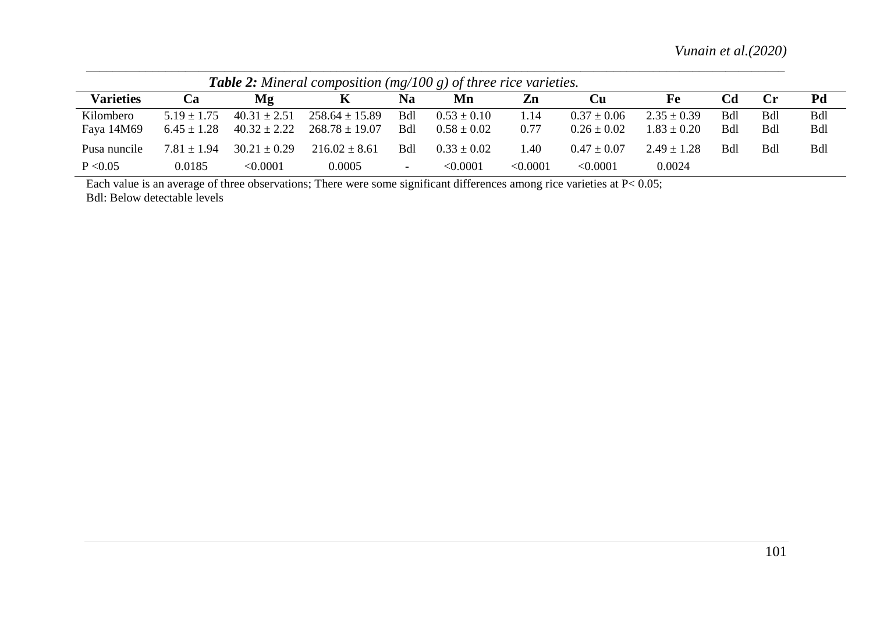*Vunain et al.(2020)*

| <b>Table 2:</b> Mineral composition (mg/100 g) of three rice varieties. |                                  |                                      |                                          |                   |                                    |              |                                    |                                    |            |                   |                          |
|-------------------------------------------------------------------------|----------------------------------|--------------------------------------|------------------------------------------|-------------------|------------------------------------|--------------|------------------------------------|------------------------------------|------------|-------------------|--------------------------|
| <b>Varieties</b>                                                        | <b>Ca</b>                        | Mg                                   |                                          | Na                | Mn                                 | Zn           | Cu                                 | Fe                                 | Cd         | $C_{\Gamma}$      | Pd                       |
| Kilombero<br>Faya 14M69                                                 | $5.19 + 1.75$<br>$6.45 \pm 1.28$ | $40.31 \pm 2.51$<br>$40.32 \pm 2.22$ | $258.64 \pm 15.89$<br>$268.78 \pm 19.07$ | Bdl<br><b>Bdl</b> | $0.53 \pm 0.10$<br>$0.58 \pm 0.02$ | 1.14<br>0.77 | $0.37 \pm 0.06$<br>$0.26 \pm 0.02$ | $2.35 \pm 0.39$<br>$1.83 \pm 0.20$ | Bdl<br>Bdl | Bdl<br><b>Bdl</b> | <b>Bdl</b><br><b>Bdl</b> |
| Pusa nuncile                                                            | $7.81 \pm 1.94$                  | $30.21 \pm 0.29$                     | $216.02 \pm 8.61$                        | Bdl               | $0.33 \pm 0.02$                    | 1.40         | $0.47 \pm 0.07$                    | $2.49 + 1.28$                      | Bdl        | Bdl               | <b>Bdl</b>               |
| P < 0.05                                                                | 0.0185                           | < 0.0001                             | 0.0005                                   | -                 | < 0.0001                           | < 0.0001     | < 0.0001                           | 0.0024                             |            |                   |                          |

Each value is an average of three observations; There were some significant differences among rice varieties at P< 0.05; Bdl: Below detectable levels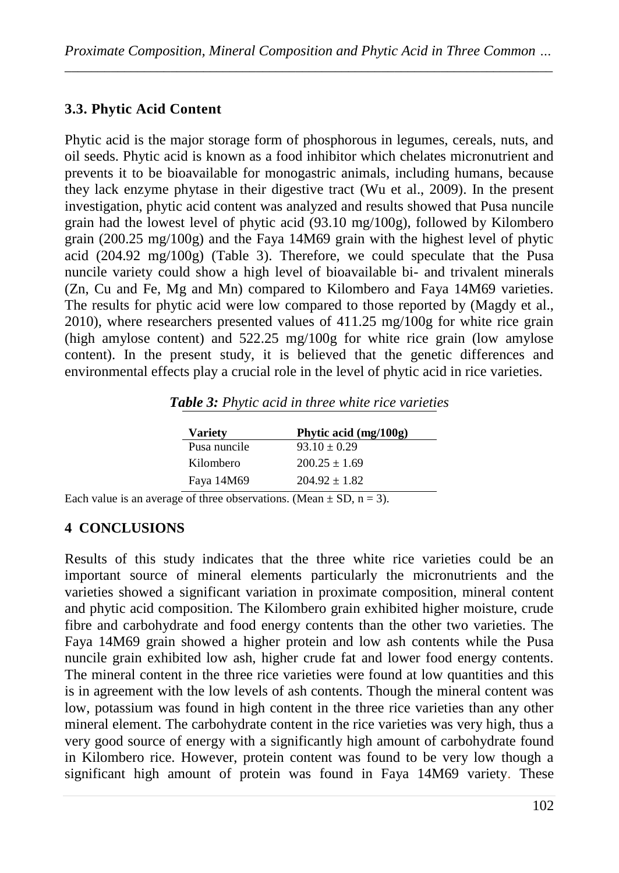## **3.3. Phytic Acid Content**

Phytic acid is the major storage form of phosphorous in legumes, cereals, nuts, and oil seeds. Phytic acid is known as a food inhibitor which chelates micronutrient and prevents it to be bioavailable for monogastric animals, including humans, because they lack enzyme phytase in their digestive tract (Wu et al., 2009). In the present investigation, phytic acid content was analyzed and results showed that Pusa nuncile grain had the lowest level of phytic acid (93.10 mg/100g), followed by Kilombero grain (200.25 mg/100g) and the Faya 14M69 grain with the highest level of phytic acid (204.92 mg/100g) (Table 3). Therefore, we could speculate that the Pusa nuncile variety could show a high level of bioavailable bi- and trivalent minerals (Zn, Cu and Fe, Mg and Mn) compared to Kilombero and Faya 14M69 varieties. The results for phytic acid were low compared to those reported by (Magdy et al., 2010), where researchers presented values of 411.25 mg/100g for white rice grain (high amylose content) and 522.25 mg/100g for white rice grain (low amylose content). In the present study, it is believed that the genetic differences and environmental effects play a crucial role in the level of phytic acid in rice varieties.

| <b>Variety</b> | Phytic acid (mg/100g) |
|----------------|-----------------------|
| Pusa nuncile   | $93.10 \pm 0.29$      |
| Kilombero      | $200.25 \pm 1.69$     |
| Faya 14M69     | $204.92 \pm 1.82$     |
|                |                       |

*Table 3: Phytic acid in three white rice varieties*

Each value is an average of three observations. (Mean  $\pm$  SD, n = 3).

#### **4 CONCLUSIONS**

Results of this study indicates that the three white rice varieties could be an important source of mineral elements particularly the micronutrients and the varieties showed a significant variation in proximate composition, mineral content and phytic acid composition. The Kilombero grain exhibited higher moisture, crude fibre and carbohydrate and food energy contents than the other two varieties. The Faya 14M69 grain showed a higher protein and low ash contents while the Pusa nuncile grain exhibited low ash, higher crude fat and lower food energy contents. The mineral content in the three rice varieties were found at low quantities and this is in agreement with the low levels of ash contents. Though the mineral content was low, potassium was found in high content in the three rice varieties than any other mineral element. The carbohydrate content in the rice varieties was very high, thus a very good source of energy with a significantly high amount of carbohydrate found in Kilombero rice. However, protein content was found to be very low though a significant high amount of protein was found in Faya 14M69 variety. These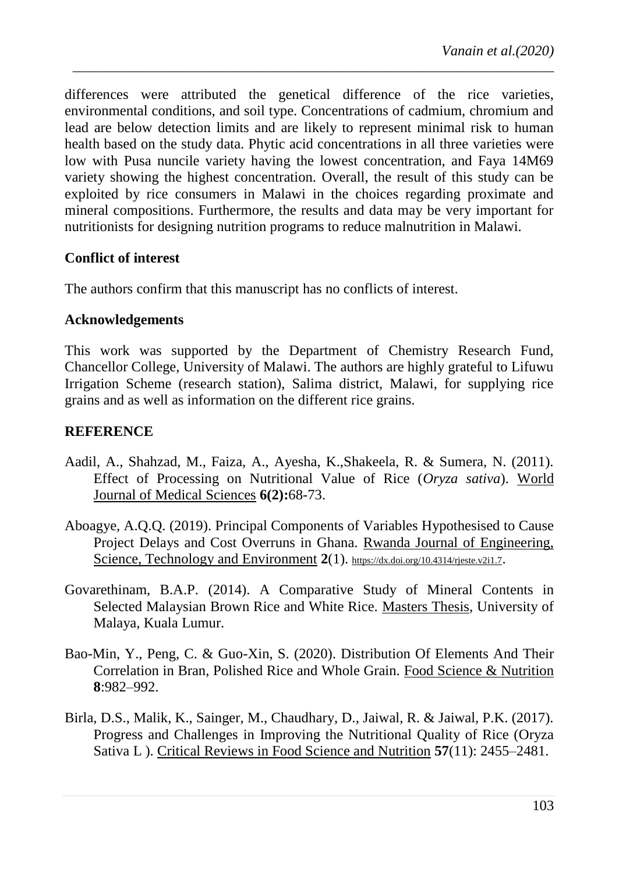differences were attributed the genetical difference of the rice varieties, environmental conditions, and soil type. Concentrations of cadmium, chromium and lead are below detection limits and are likely to represent minimal risk to human health based on the study data. Phytic acid concentrations in all three varieties were low with Pusa nuncile variety having the lowest concentration, and Faya 14M69 variety showing the highest concentration. Overall, the result of this study can be exploited by rice consumers in Malawi in the choices regarding proximate and mineral compositions. Furthermore, the results and data may be very important for nutritionists for designing nutrition programs to reduce malnutrition in Malawi.

*\_\_\_\_\_\_\_\_\_\_\_\_\_\_\_\_\_\_\_\_\_\_\_\_\_\_\_\_\_\_\_\_\_\_\_\_\_\_\_\_\_\_\_\_\_\_\_\_\_\_\_\_\_\_\_\_\_\_\_\_\_\_\_\_\_\_\_\_\_\_\_\_\_*

#### **Conflict of interest**

The authors confirm that this manuscript has no conflicts of interest.

#### **Acknowledgements**

This work was supported by the Department of Chemistry Research Fund, Chancellor College, University of Malawi. The authors are highly grateful to Lifuwu Irrigation Scheme (research station), Salima district, Malawi, for supplying rice grains and as well as information on the different rice grains.

#### **REFERENCE**

- Aadil, A., Shahzad, M., Faiza, A., Ayesha, K.,Shakeela, R. & Sumera, N. (2011). Effect of Processing on Nutritional Value of Rice (*Oryza sativa*). World Journal of Medical Sciences **6(2):**68-73.
- Aboagye, A.Q.Q. (2019). Principal Components of Variables Hypothesised to Cause Project Delays and Cost Overruns in Ghana. Rwanda Journal of Engineering, Science, Technology and Environment 2(1). <https://dx.doi.org/10.4314/rjeste.v2i1.7>.
- Govarethinam, B.A.P. (2014). A Comparative Study of Mineral Contents in Selected Malaysian Brown Rice and White Rice. Masters Thesis, University of Malaya, Kuala Lumur.
- Bao-Min, Y., Peng, C. & Guo-Xin, S. (2020). Distribution Of Elements And Their Correlation in Bran, Polished Rice and Whole Grain. Food Science & Nutrition **8**:982–992.
- Birla, D.S., Malik, K., Sainger, M., Chaudhary, D., Jaiwal, R. & Jaiwal, P.K. (2017). Progress and Challenges in Improving the Nutritional Quality of Rice (Oryza Sativa L ). Critical Reviews in Food Science and Nutrition **57**(11): 2455–2481.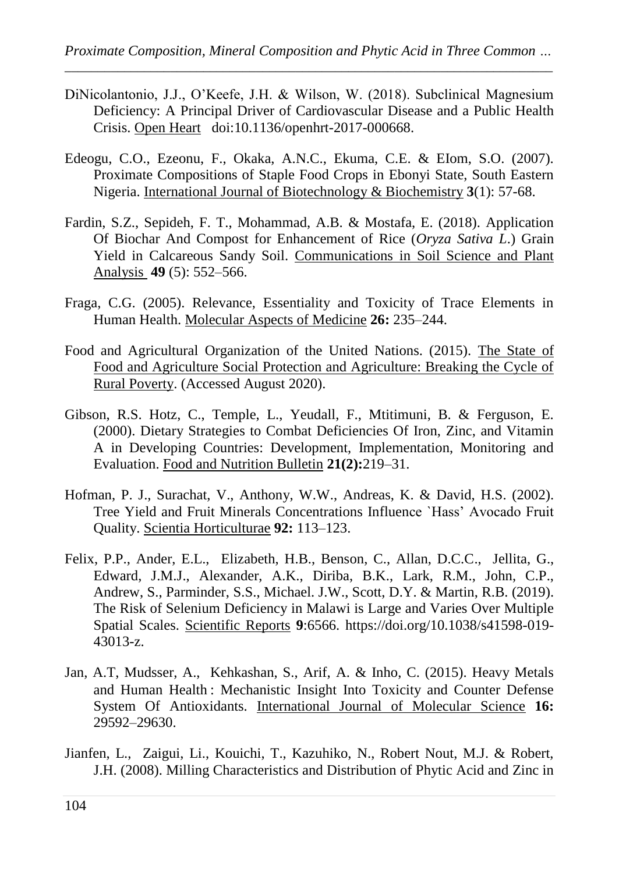- DiNicolantonio, J.J., O'Keefe, J.H. & Wilson, W. (2018). Subclinical Magnesium Deficiency: A Principal Driver of Cardiovascular Disease and a Public Health Crisis. Open Heart doi:10.1136/openhrt-2017-000668.
- Edeogu, C.O., Ezeonu, F., Okaka, A.N.C., Ekuma, C.E. & EIom, S.O. (2007). Proximate Compositions of Staple Food Crops in Ebonyi State, South Eastern Nigeria. International Journal of Biotechnology & Biochemistry **3**(1): 57-68.
- Fardin, S.Z., Sepideh, F. T., Mohammad, A.B. & Mostafa, E. (2018). Application Of Biochar And Compost for Enhancement of Rice (*Oryza Sativa L*.) Grain Yield in Calcareous Sandy Soil. Communications in Soil Science and Plant Analysis **49** (5): 552–566.
- Fraga, C.G. (2005). Relevance, Essentiality and Toxicity of Trace Elements in Human Health. Molecular Aspects of Medicine **26:** 235–244.
- Food and Agricultural Organization of the United Nations. (2015). The State of Food and Agriculture Social Protection and Agriculture: Breaking the Cycle of Rural Poverty. (Accessed August 2020).
- Gibson, R.S. Hotz, C., Temple, L., Yeudall, F., Mtitimuni, B. & Ferguson, E. (2000). Dietary Strategies to Combat Deficiencies Of Iron, Zinc, and Vitamin A in Developing Countries: Development, Implementation, Monitoring and Evaluation. Food and Nutrition Bulletin **21(2):**219–31.
- Hofman, P. J., Surachat, V., Anthony, W.W., Andreas, K. & David, H.S. (2002). Tree Yield and Fruit Minerals Concentrations Influence `Hass" Avocado Fruit Quality. Scientia Horticulturae **92:** 113–123.
- Felix, P.P., Ander, E.L., Elizabeth, H.B., Benson, C., Allan, D.C.C., Jellita, G., Edward, J.M.J., Alexander, A.K., Diriba, B.K., Lark, R.M., John, C.P., Andrew, S., Parminder, S.S., Michael. J.W., Scott, D.Y. & Martin, R.B. (2019). The Risk of Selenium Deficiency in Malawi is Large and Varies Over Multiple Spatial Scales. Scientific Reports **9**:6566. https://doi.org/10.1038/s41598-019- 43013-z.
- Jan, A.T, Mudsser, A., Kehkashan, S., Arif, A. & Inho, C. (2015). Heavy Metals and Human Health : Mechanistic Insight Into Toxicity and Counter Defense System Of Antioxidants. International Journal of Molecular Science **16:** 29592–29630.
- Jianfen, L., Zaigui, Li., Kouichi, T., Kazuhiko, N., Robert Nout, M.J. & Robert, J.H. (2008). Milling Characteristics and Distribution of Phytic Acid and Zinc in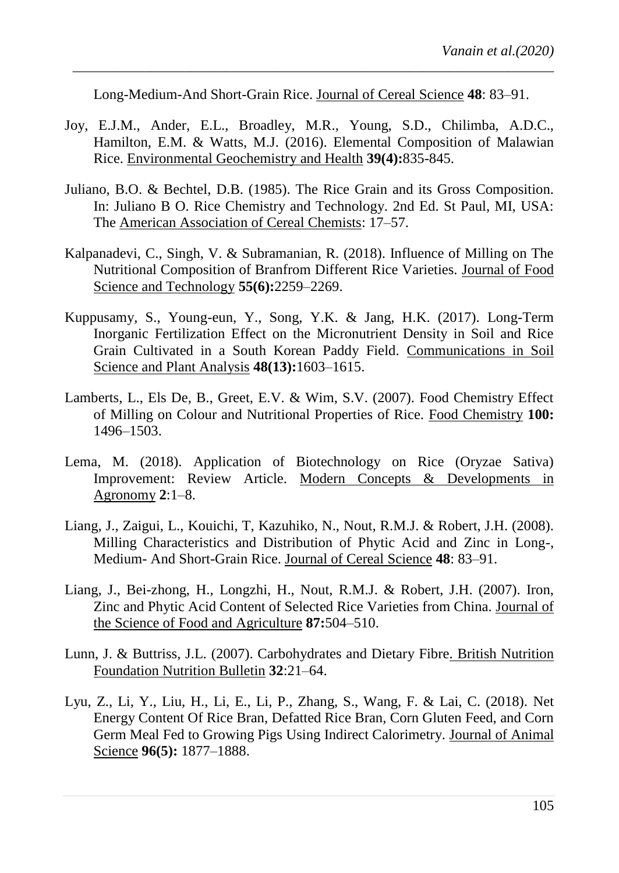Long-Medium-And Short-Grain Rice. Journal of Cereal Science **48**: 83–91.

*\_\_\_\_\_\_\_\_\_\_\_\_\_\_\_\_\_\_\_\_\_\_\_\_\_\_\_\_\_\_\_\_\_\_\_\_\_\_\_\_\_\_\_\_\_\_\_\_\_\_\_\_\_\_\_\_\_\_\_\_\_\_\_\_\_\_\_\_\_\_\_\_\_*

- Joy, E.J.M., Ander, E.L., Broadley, M.R., Young, S.D., Chilimba, A.D.C., Hamilton, E.M. & Watts, M.J. (2016). Elemental Composition of Malawian Rice. Environmental Geochemistry and Health **39(4):**835-845.
- Juliano, B.O. & Bechtel, D.B. (1985). The Rice Grain and its Gross Composition. In: Juliano B O. Rice Chemistry and Technology. 2nd Ed. St Paul, MI, USA: The American Association of Cereal Chemists: 17–57.
- Kalpanadevi, C., Singh, V. & Subramanian, R. (2018). Influence of Milling on The Nutritional Composition of Branfrom Different Rice Varieties. Journal of Food Science and Technology **55(6):**2259–2269.
- Kuppusamy, S., Young-eun, Y., Song, Y.K. & Jang, H.K. (2017). Long-Term Inorganic Fertilization Effect on the Micronutrient Density in Soil and Rice Grain Cultivated in a South Korean Paddy Field. Communications in Soil Science and Plant Analysis **48(13):**1603–1615.
- Lamberts, L., Els De, B., Greet, E.V. & Wim, S.V. (2007). Food Chemistry Effect of Milling on Colour and Nutritional Properties of Rice. Food Chemistry **100:** 1496–1503.
- Lema, M. (2018). Application of Biotechnology on Rice (Oryzae Sativa) Improvement: Review Article. Modern Concepts & Developments in Agronomy **2**:1–8.
- Liang, J., Zaigui, L., Kouichi, T, Kazuhiko, N., Nout, R.M.J. & Robert, J.H. (2008). Milling Characteristics and Distribution of Phytic Acid and Zinc in Long-, Medium- And Short-Grain Rice. Journal of Cereal Science **48**: 83–91.
- Liang, J., Bei-zhong, H., Longzhi, H., Nout, R.M.J. & Robert, J.H. (2007). Iron, Zinc and Phytic Acid Content of Selected Rice Varieties from China. Journal of the Science of Food and Agriculture **87:**504–510.
- Lunn, J. & Buttriss, J.L. (2007). Carbohydrates and Dietary Fibre. British Nutrition Foundation Nutrition Bulletin **32**:21–64.
- Lyu, Z., Li, Y., Liu, H., Li, E., Li, P., Zhang, S., Wang, F. & Lai, C. (2018). Net Energy Content Of Rice Bran, Defatted Rice Bran, Corn Gluten Feed, and Corn Germ Meal Fed to Growing Pigs Using Indirect Calorimetry. Journal of Animal Science **96(5):** 1877–1888.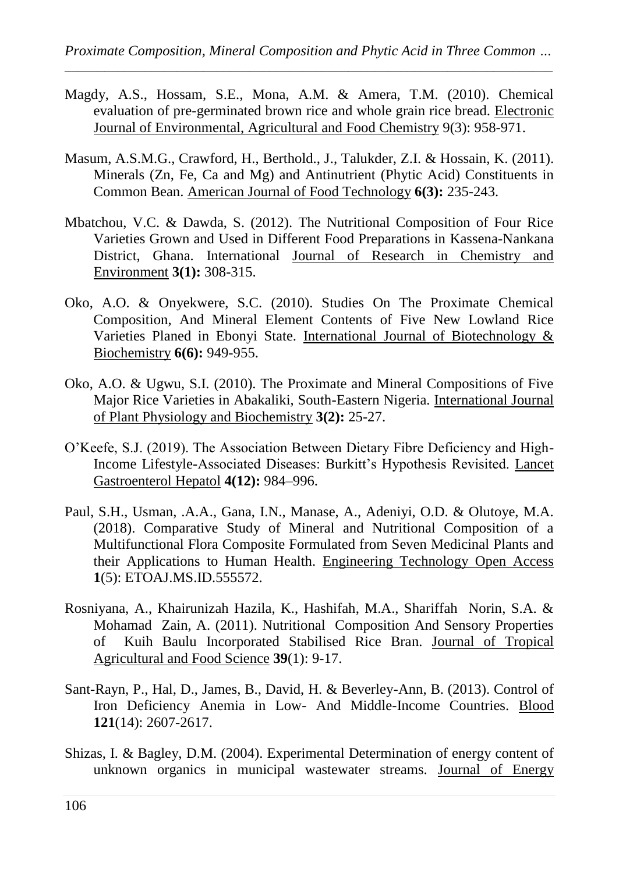- Magdy, A.S., Hossam, S.E., Mona, A.M. & Amera, T.M. (2010). Chemical evaluation of pre-germinated brown rice and whole grain rice bread. Electronic Journal of Environmental, Agricultural and Food Chemistry 9(3): 958-971.
- Masum, A.S.M.G., Crawford, H., Berthold., J., Talukder, Z.I. & Hossain, K. (2011). Minerals (Zn, Fe, Ca and Mg) and Antinutrient (Phytic Acid) Constituents in Common Bean. [American Journal of Food Technology](https://www.ncbi.nlm.nih.gov/pubmed/29861700) **6(3):** 235-243.
- Mbatchou, V.C. & Dawda, S. (2012). The Nutritional Composition of Four Rice Varieties Grown and Used in Different Food Preparations in Kassena-Nankana District, Ghana. International Journal of Research in Chemistry and Environment **3(1):** 308-315.
- Oko, A.O. & Onyekwere, S.C. (2010). Studies On The Proximate Chemical Composition, And Mineral Element Contents of Five New Lowland Rice Varieties Planed in Ebonyi State. International Journal of Biotechnology & Biochemistry **6(6):** 949-955.
- Oko, A.O. & Ugwu, S.I. (2010). The Proximate and Mineral Compositions of Five Major Rice Varieties in Abakaliki, South-Eastern Nigeria. International Journal of Plant Physiology and Biochemistry **3(2):** 25-27.
- O'Keefe, S.J. (2019). The Association Between Dietary Fibre Deficiency and High-Income Lifestyle-Associated Diseases: Burkitt's Hypothesis Revisited. Lancet Gastroenterol Hepatol **4(12):** 984–996.
- Paul, S.H., Usman, .A.A., Gana, I.N., Manase, A., Adeniyi, O.D. & Olutoye, M.A. (2018). Comparative Study of Mineral and Nutritional Composition of a Multifunctional Flora Composite Formulated from Seven Medicinal Plants and their Applications to Human Health. Engineering Technology Open Access **1**(5): ETOAJ.MS.ID.555572.
- Rosniyana, A., Khairunizah Hazila, K., Hashifah, M.A., Shariffah Norin, S.A. & Mohamad Zain, A. (2011). Nutritional Composition And Sensory Properties of Kuih Baulu Incorporated Stabilised Rice Bran. Journal of Tropical Agricultural and Food Science **39**(1): 9-17.
- Sant-Rayn, P., Hal, D., James, B., David, H. & Beverley-Ann, B. (2013). Control of Iron Deficiency Anemia in Low- And Middle-Income Countries. Blood **121**(14): 2607-2617.
- Shizas, I. & Bagley, D.M. (2004). Experimental Determination of energy content of unknown organics in municipal wastewater streams. Journal of Energy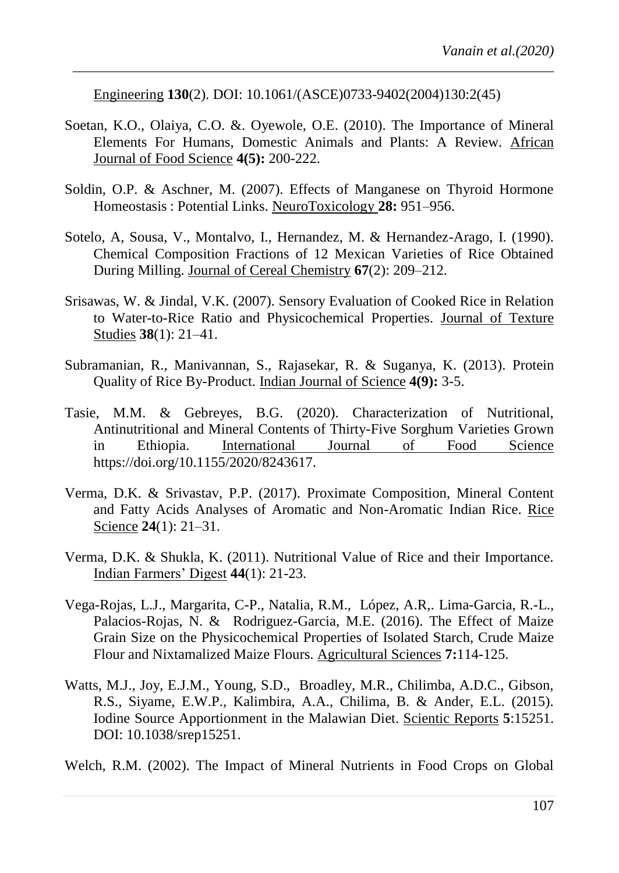Engineering **130**(2). DOI: 10.1061/(ASCE)0733-9402(2004)130:2(45)

Soetan, K.O., Olaiya, C.O. &. Oyewole, O.E. (2010). The Importance of Mineral Elements For Humans, Domestic Animals and Plants: A Review. African Journal of Food Science **4(5):** 200-222.

*\_\_\_\_\_\_\_\_\_\_\_\_\_\_\_\_\_\_\_\_\_\_\_\_\_\_\_\_\_\_\_\_\_\_\_\_\_\_\_\_\_\_\_\_\_\_\_\_\_\_\_\_\_\_\_\_\_\_\_\_\_\_\_\_\_\_\_\_\_\_\_\_\_*

- Soldin, O.P. & Aschner, M. (2007). Effects of Manganese on Thyroid Hormone Homeostasis : Potential Links. NeuroToxicology **28:** 951–956.
- Sotelo, A, Sousa, V., Montalvo, I., Hernandez, M. & Hernandez-Arago, I. (1990). Chemical Composition Fractions of 12 Mexican Varieties of Rice Obtained During Milling. Journal of Cereal Chemistry **67**(2): 209–212.
- Srisawas, W. & Jindal, V.K. (2007). Sensory Evaluation of Cooked Rice in Relation to Water-to-Rice Ratio and Physicochemical Properties. Journal of Texture Studies **38**(1): 21–41.
- Subramanian, R., Manivannan, S., Rajasekar, R. & Suganya, K. (2013). Protein Quality of Rice By-Product. Indian Journal of Science **4(9):** 3-5.
- Tasie, M.M. & Gebreyes, B.G. (2020). Characterization of Nutritional, Antinutritional and Mineral Contents of Thirty-Five Sorghum Varieties Grown in Ethiopia. International Journal of Food Science https://doi.org/10.1155/2020/8243617.
- Verma, D.K. & Srivastav, P.P. (2017). Proximate Composition, Mineral Content and Fatty Acids Analyses of Aromatic and Non-Aromatic Indian Rice. Rice Science **24**(1): 21–31.
- Verma, D.K. & Shukla, K. (2011). Nutritional Value of Rice and their Importance. Indian Farmers" Digest **44**(1): 21-23.
- Vega-Rojas, L.J., Margarita, C-P., Natalia, R.M., López, A.R,. Lima-Garcia, R.-L., Palacios-Rojas, N. & Rodriguez-Garcia, M.E. (2016). The Effect of Maize Grain Size on the Physicochemical Properties of Isolated Starch, Crude Maize Flour and Nixtamalized Maize Flours. Agricultural Sciences **7:**114-125.
- Watts, M.J., Joy, E.J.M., Young, S.D., Broadley, M.R., Chilimba, A.D.C., Gibson, R.S., Siyame, E.W.P., Kalimbira, A.A., Chilima, B. & Ander, E.L. (2015). Iodine Source Apportionment in the Malawian Diet. Scientic Reports **5**:15251. DOI: 10.1038/srep15251.

Welch, R.M. (2002). The Impact of Mineral Nutrients in Food Crops on Global